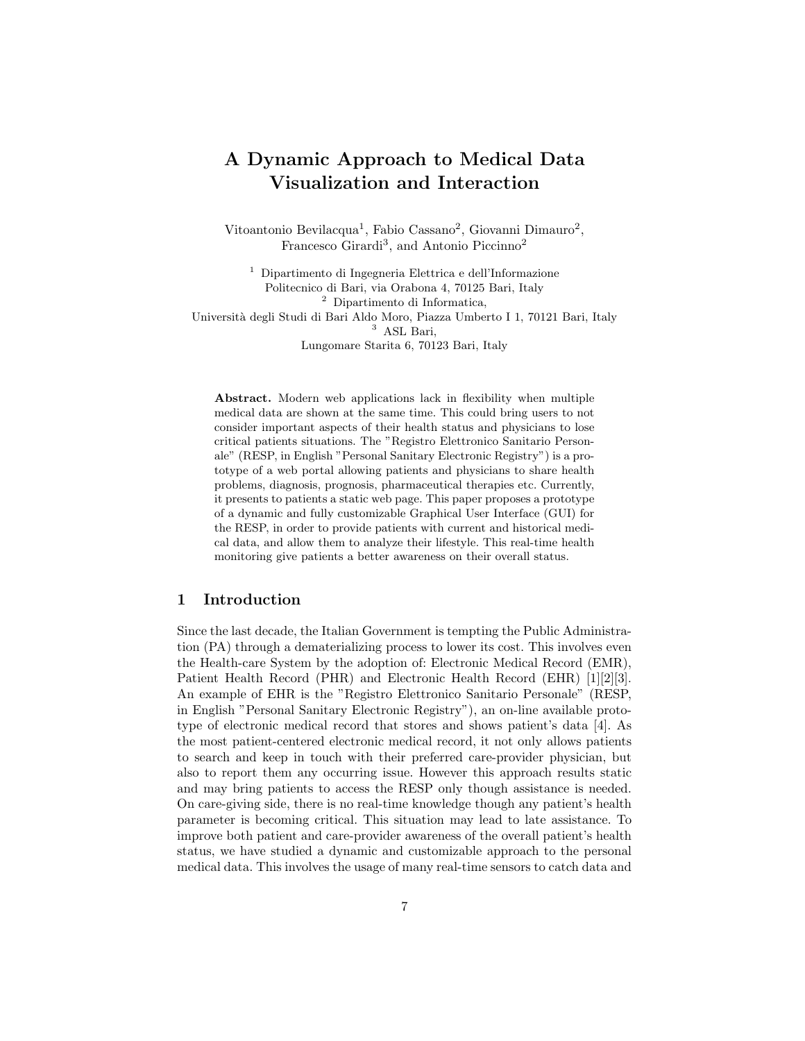# A Dynamic Approach to Medical Data Visualization and Interaction

Vitoantonio Bevilacqua<sup>1</sup>, Fabio Cassano<sup>2</sup>, Giovanni Dimauro<sup>2</sup>, Francesco Girardi<sup>3</sup>, and Antonio Piccinno<sup>2</sup>

<sup>1</sup> Dipartimento di Ingegneria Elettrica e dell'Informazione Politecnico di Bari, via Orabona 4, 70125 Bari, Italy <sup>2</sup> Dipartimento di Informatica, Universit`a degli Studi di Bari Aldo Moro, Piazza Umberto I 1, 70121 Bari, Italy <sup>3</sup> ASL Bari, Lungomare Starita 6, 70123 Bari, Italy

Abstract. Modern web applications lack in flexibility when multiple medical data are shown at the same time. This could bring users to not consider important aspects of their health status and physicians to lose critical patients situations. The "Registro Elettronico Sanitario Personale" (RESP, in English "Personal Sanitary Electronic Registry") is a prototype of a web portal allowing patients and physicians to share health problems, diagnosis, prognosis, pharmaceutical therapies etc. Currently, it presents to patients a static web page. This paper proposes a prototype of a dynamic and fully customizable Graphical User Interface (GUI) for the RESP, in order to provide patients with current and historical medical data, and allow them to analyze their lifestyle. This real-time health monitoring give patients a better awareness on their overall status.

### 1 Introduction

Since the last decade, the Italian Government is tempting the Public Administration (PA) through a dematerializing process to lower its cost. This involves even the Health-care System by the adoption of: Electronic Medical Record (EMR), Patient Health Record (PHR) and Electronic Health Record (EHR) [1][2][3]. An example of EHR is the "Registro Elettronico Sanitario Personale" (RESP, in English "Personal Sanitary Electronic Registry"), an on-line available prototype of electronic medical record that stores and shows patient's data [4]. As the most patient-centered electronic medical record, it not only allows patients to search and keep in touch with their preferred care-provider physician, but also to report them any occurring issue. However this approach results static and may bring patients to access the RESP only though assistance is needed. On care-giving side, there is no real-time knowledge though any patient's health parameter is becoming critical. This situation may lead to late assistance. To improve both patient and care-provider awareness of the overall patient's health status, we have studied a dynamic and customizable approach to the personal medical data. This involves the usage of many real-time sensors to catch data and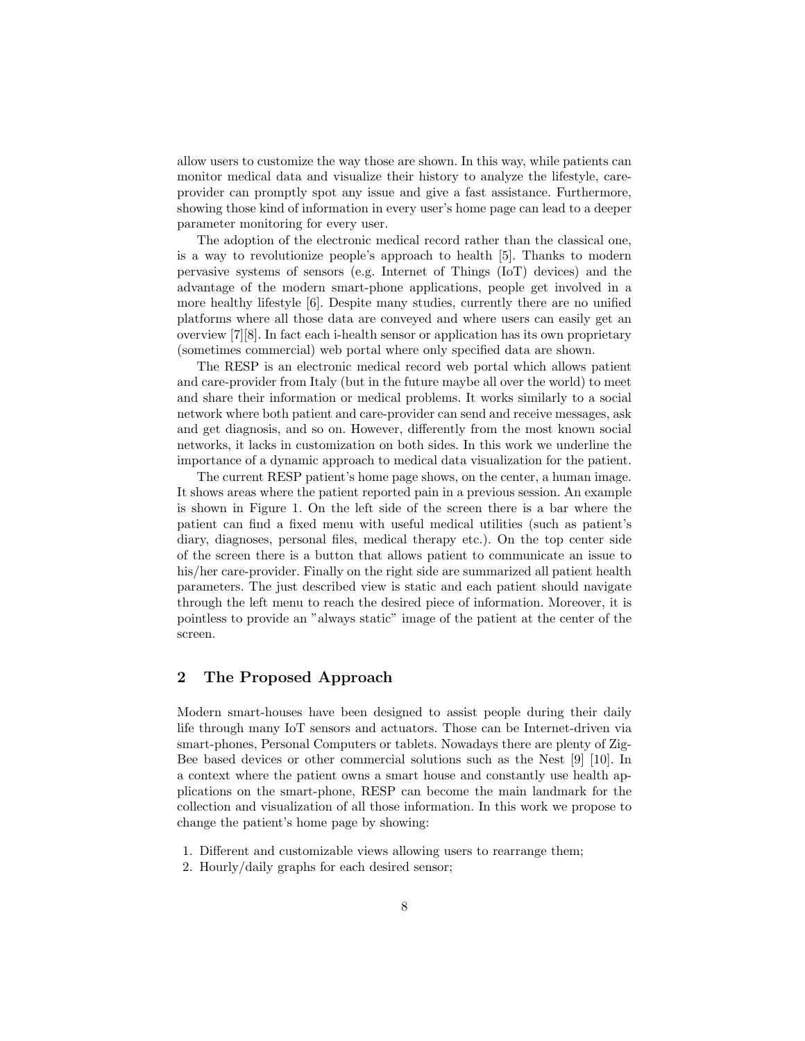allow users to customize the way those are shown. In this way, while patients can monitor medical data and visualize their history to analyze the lifestyle, careprovider can promptly spot any issue and give a fast assistance. Furthermore, showing those kind of information in every user's home page can lead to a deeper parameter monitoring for every user.

The adoption of the electronic medical record rather than the classical one, is a way to revolutionize people's approach to health [5]. Thanks to modern pervasive systems of sensors (e.g. Internet of Things (IoT) devices) and the advantage of the modern smart-phone applications, people get involved in a more healthy lifestyle [6]. Despite many studies, currently there are no unified platforms where all those data are conveyed and where users can easily get an overview [7][8]. In fact each i-health sensor or application has its own proprietary (sometimes commercial) web portal where only specified data are shown.

The RESP is an electronic medical record web portal which allows patient and care-provider from Italy (but in the future maybe all over the world) to meet and share their information or medical problems. It works similarly to a social network where both patient and care-provider can send and receive messages, ask and get diagnosis, and so on. However, differently from the most known social networks, it lacks in customization on both sides. In this work we underline the importance of a dynamic approach to medical data visualization for the patient.

The current RESP patient's home page shows, on the center, a human image. It shows areas where the patient reported pain in a previous session. An example is shown in Figure 1. On the left side of the screen there is a bar where the patient can find a fixed menu with useful medical utilities (such as patient's diary, diagnoses, personal files, medical therapy etc.). On the top center side of the screen there is a button that allows patient to communicate an issue to his/her care-provider. Finally on the right side are summarized all patient health parameters. The just described view is static and each patient should navigate through the left menu to reach the desired piece of information. Moreover, it is pointless to provide an "always static" image of the patient at the center of the screen.

#### 2 The Proposed Approach

Modern smart-houses have been designed to assist people during their daily life through many IoT sensors and actuators. Those can be Internet-driven via smart-phones, Personal Computers or tablets. Nowadays there are plenty of Zig-Bee based devices or other commercial solutions such as the Nest [9] [10]. In a context where the patient owns a smart house and constantly use health applications on the smart-phone, RESP can become the main landmark for the collection and visualization of all those information. In this work we propose to change the patient's home page by showing:

- 1. Different and customizable views allowing users to rearrange them;
- 2. Hourly/daily graphs for each desired sensor;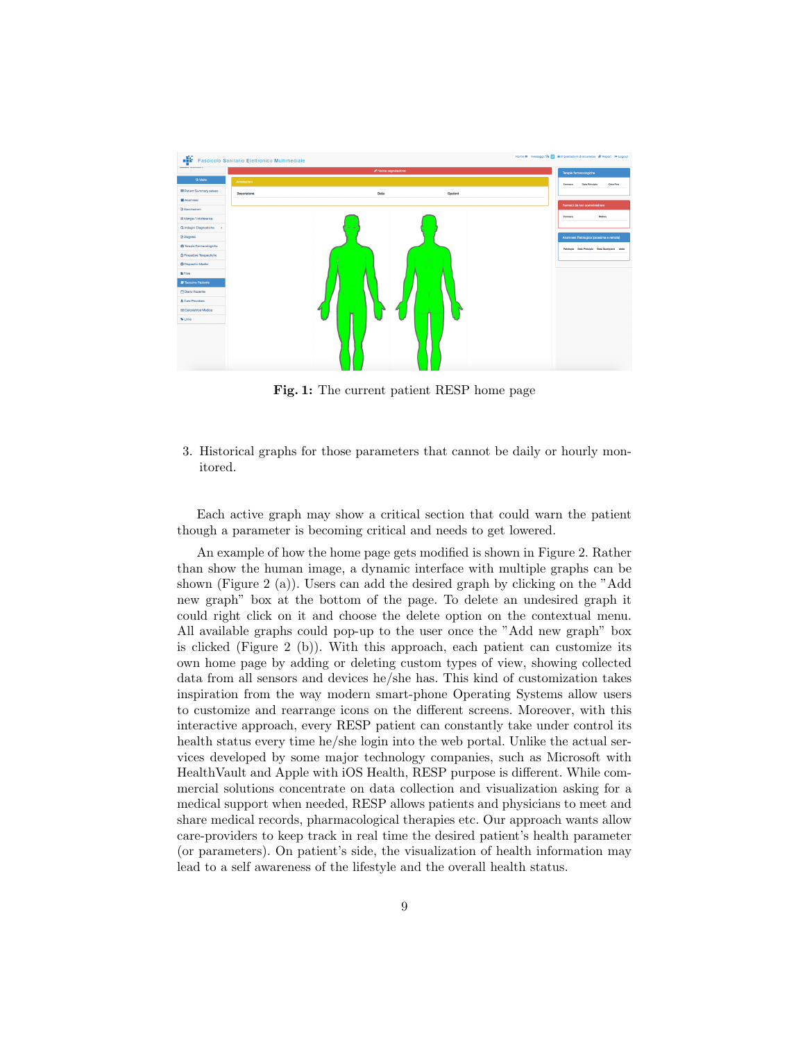

Fig. 1: The current patient RESP home page

3. Historical graphs for those parameters that cannot be daily or hourly monitored.

Each active graph may show a critical section that could warn the patient though a parameter is becoming critical and needs to get lowered.

An example of how the home page gets modified is shown in Figure 2. Rather than show the human image, a dynamic interface with multiple graphs can be shown (Figure 2 (a)). Users can add the desired graph by clicking on the "Add new graph" box at the bottom of the page. To delete an undesired graph it could right click on it and choose the delete option on the contextual menu. All available graphs could pop-up to the user once the "Add new graph" box is clicked (Figure 2 (b)). With this approach, each patient can customize its own home page by adding or deleting custom types of view, showing collected data from all sensors and devices he/she has. This kind of customization takes inspiration from the way modern smart-phone Operating Systems allow users to customize and rearrange icons on the different screens. Moreover, with this interactive approach, every RESP patient can constantly take under control its health status every time he/she login into the web portal. Unlike the actual services developed by some major technology companies, such as Microsoft with HealthVault and Apple with iOS Health, RESP purpose is different. While commercial solutions concentrate on data collection and visualization asking for a medical support when needed, RESP allows patients and physicians to meet and share medical records, pharmacological therapies etc. Our approach wants allow care-providers to keep track in real time the desired patient's health parameter (or parameters). On patient's side, the visualization of health information may lead to a self awareness of the lifestyle and the overall health status.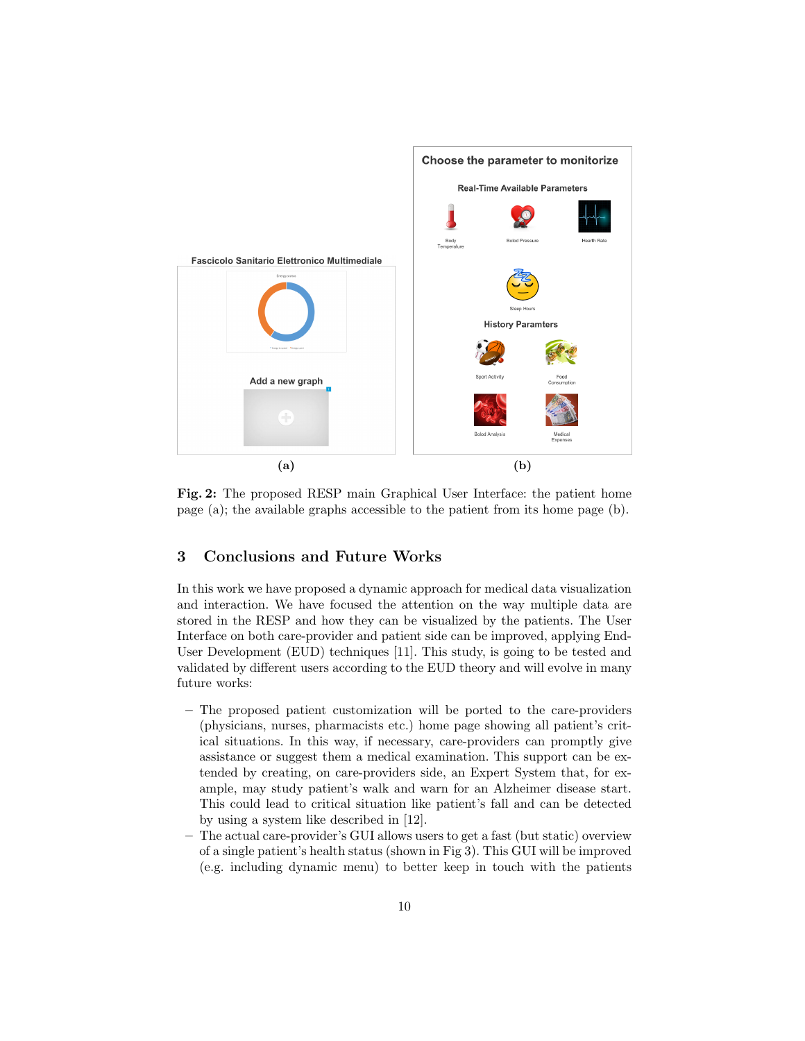

Fig. 2: The proposed RESP main Graphical User Interface: the patient home page (a); the available graphs accessible to the patient from its home page (b).

## 3 Conclusions and Future Works

In this work we have proposed a dynamic approach for medical data visualization and interaction. We have focused the attention on the way multiple data are stored in the RESP and how they can be visualized by the patients. The User Interface on both care-provider and patient side can be improved, applying End-User Development (EUD) techniques [11]. This study, is going to be tested and validated by different users according to the EUD theory and will evolve in many future works:

- The proposed patient customization will be ported to the care-providers (physicians, nurses, pharmacists etc.) home page showing all patient's critical situations. In this way, if necessary, care-providers can promptly give assistance or suggest them a medical examination. This support can be extended by creating, on care-providers side, an Expert System that, for example, may study patient's walk and warn for an Alzheimer disease start. This could lead to critical situation like patient's fall and can be detected by using a system like described in [12].
- The actual care-provider's GUI allows users to get a fast (but static) overview of a single patient's health status (shown in Fig 3). This GUI will be improved (e.g. including dynamic menu) to better keep in touch with the patients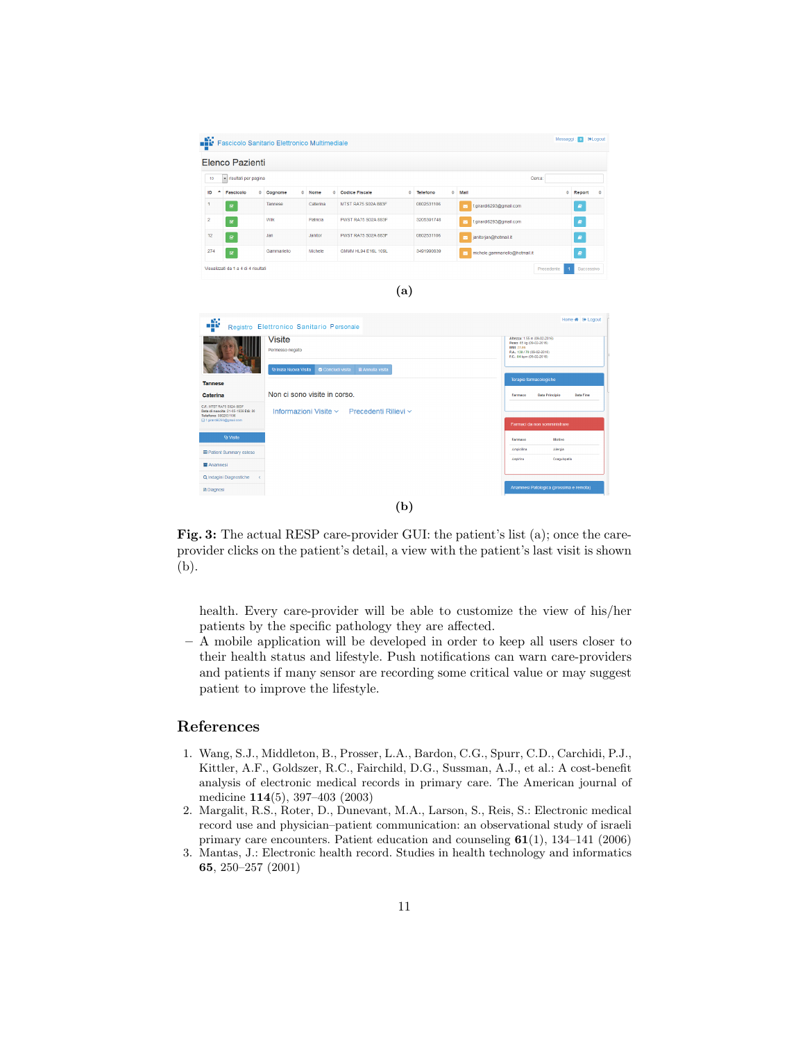

Fig. 3: The actual RESP care-provider GUI: the patient's list (a); once the careprovider clicks on the patient's detail, a view with the patient's last visit is shown (b).

health. Every care-provider will be able to customize the view of his/her patients by the specific pathology they are affected.

– A mobile application will be developed in order to keep all users closer to their health status and lifestyle. Push notifications can warn care-providers and patients if many sensor are recording some critical value or may suggest patient to improve the lifestyle.

## References

- 1. Wang, S.J., Middleton, B., Prosser, L.A., Bardon, C.G., Spurr, C.D., Carchidi, P.J., Kittler, A.F., Goldszer, R.C., Fairchild, D.G., Sussman, A.J., et al.: A cost-benefit analysis of electronic medical records in primary care. The American journal of medicine 114(5), 397–403 (2003)
- 2. Margalit, R.S., Roter, D., Dunevant, M.A., Larson, S., Reis, S.: Electronic medical record use and physician–patient communication: an observational study of israeli primary care encounters. Patient education and counseling 61(1), 134–141 (2006)
- 3. Mantas, J.: Electronic health record. Studies in health technology and informatics 65, 250–257 (2001)